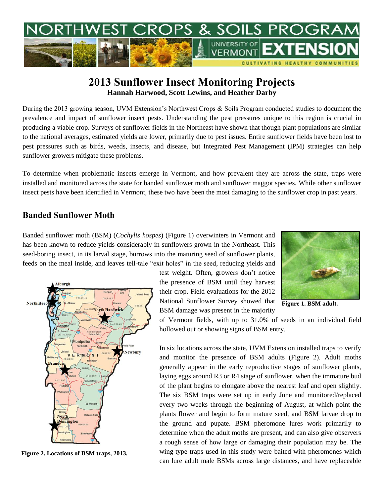

## **2013 Sunflower Insect Monitoring Projects Hannah Harwood, Scott Lewins, and Heather Darby**

During the 2013 growing season, UVM Extension's Northwest Crops & Soils Program conducted studies to document the prevalence and impact of sunflower insect pests. Understanding the pest pressures unique to this region is crucial in producing a viable crop. Surveys of sunflower fields in the Northeast have shown that though plant populations are similar to the national averages, estimated yields are lower, primarily due to pest issues. Entire sunflower fields have been lost to pest pressures such as birds, weeds, insects, and disease, but Integrated Pest Management (IPM) strategies can help sunflower growers mitigate these problems.

To determine when problematic insects emerge in Vermont, and how prevalent they are across the state, traps were installed and monitored across the state for banded sunflower moth and sunflower maggot species. While other sunflower insect pests have been identified in Vermont, these two have been the most damaging to the sunflower crop in past years.

## **Banded Sunflower Moth**

Banded sunflower moth (BSM) (*Cochylis hospes*) (Figure 1) overwinters in Vermont and has been known to reduce yields considerably in sunflowers grown in the Northeast. This seed-boring insect, in its larval stage, burrows into the maturing seed of sunflower plants, feeds on the meal inside, and leaves tell-tale "exit holes" in the seed, reducing yields and



**Figure 2. Locations of BSM traps, 2013.**

test weight. Often, growers don't notice the presence of BSM until they harvest their crop. Field evaluations for the 2012 National Sunflower Survey showed that BSM damage was present in the majority



**Figure 1. BSM adult.**

of Vermont fields, with up to 31.0% of seeds in an individual field hollowed out or showing signs of BSM entry.

In six locations across the state, UVM Extension installed traps to verify and monitor the presence of BSM adults (Figure 2). Adult moths generally appear in the early reproductive stages of sunflower plants, laying eggs around R3 or R4 stage of sunflower, when the immature bud of the plant begins to elongate above the nearest leaf and open slightly. The six BSM traps were set up in early June and monitored/replaced every two weeks through the beginning of August, at which point the plants flower and begin to form mature seed, and BSM larvae drop to the ground and pupate. BSM pheromone lures work primarily to determine when the adult moths are present, and can also give observers a rough sense of how large or damaging their population may be. The wing-type traps used in this study were baited with pheromones which can lure adult male BSMs across large distances, and have replaceable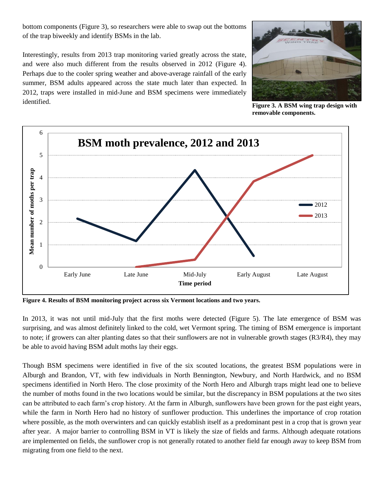bottom components (Figure 3), so researchers were able to swap out the bottoms of the trap biweekly and identify BSMs in the lab.

Interestingly, results from 2013 trap monitoring varied greatly across the state, and were also much different from the results observed in 2012 (Figure 4). Perhaps due to the cooler spring weather and above-average rainfall of the early summer, BSM adults appeared across the state much later than expected. In 2012, traps were installed in mid-June and BSM specimens were immediately identified.



**Figure 3. A BSM wing trap design with removable components.**



**Figure 4. Results of BSM monitoring project across six Vermont locations and two years.**

In 2013, it was not until mid-July that the first moths were detected (Figure 5). The late emergence of BSM was surprising, and was almost definitely linked to the cold, wet Vermont spring. The timing of BSM emergence is important to note; if growers can alter planting dates so that their sunflowers are not in vulnerable growth stages (R3/R4), they may be able to avoid having BSM adult moths lay their eggs.

Though BSM specimens were identified in five of the six scouted locations, the greatest BSM populations were in Alburgh and Brandon, VT, with few individuals in North Bennington, Newbury, and North Hardwick, and no BSM specimens identified in North Hero. The close proximity of the North Hero and Alburgh traps might lead one to believe the number of moths found in the two locations would be similar, but the discrepancy in BSM populations at the two sites can be attributed to each farm's crop history. At the farm in Alburgh, sunflowers have been grown for the past eight years, while the farm in North Hero had no history of sunflower production. This underlines the importance of crop rotation where possible, as the moth overwinters and can quickly establish itself as a predominant pest in a crop that is grown year after year. A major barrier to controlling BSM in VT is likely the size of fields and farms. Although adequate rotations are implemented on fields, the sunflower crop is not generally rotated to another field far enough away to keep BSM from migrating from one field to the next.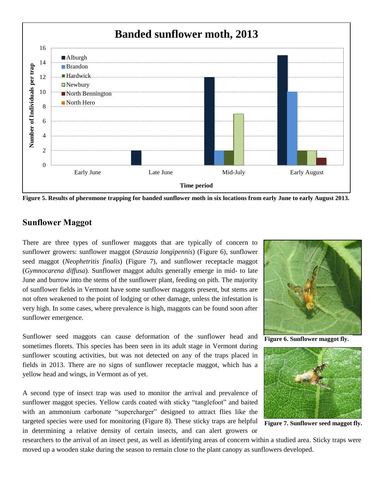

**Figure 5. Results of pheromone trapping for banded sunflower moth in six locations from early June to early August 2013.**

## **Sunflower Maggot**

There are three types of sunflower maggots that are typically of concern to sunflower growers: sunflower maggot (*Strauzia longipennis*) (Figure 6), sunflower seed maggot (*Neophetritis finalis*) (Figure 7), and sunflower receptacle maggot (*Gymnocarena diffusa*). Sunflower maggot adults generally emerge in mid- to late June and burrow into the stems of the sunflower plant, feeding on pith. The majority of sunflower fields in Vermont have some sunflower maggots present, but stems are not often weakened to the point of lodging or other damage, unless the infestation is very high. In some cases, where prevalence is high, maggots can be found soon after sunflower emergence.

Sunflower seed maggots can cause deformation of the sunflower head and sometimes florets. This species has been seen in its adult stage in Vermont during sunflower scouting activities, but was not detected on any of the traps placed in fields in 2013. There are no signs of sunflower receptacle maggot, which has a yellow head and wings, in Vermont as of yet.

A second type of insect trap was used to monitor the arrival and prevalence of sunflower maggot species. Yellow cards coated with sticky "tanglefoot" and baited with an ammonium carbonate "supercharger" designed to attract flies like the targeted species were used for monitoring (Figure 8). These sticky traps are helpful in determining a relative density of certain insects, and can alert growers or



**Figure 6. Sunflower maggot fly.**



**Figure 7. Sunflower seed maggot fly.**

researchers to the arrival of an insect pest, as well as identifying areas of concern within a studied area. Sticky traps were moved up a wooden stake during the season to remain close to the plant canopy as sunflowers developed.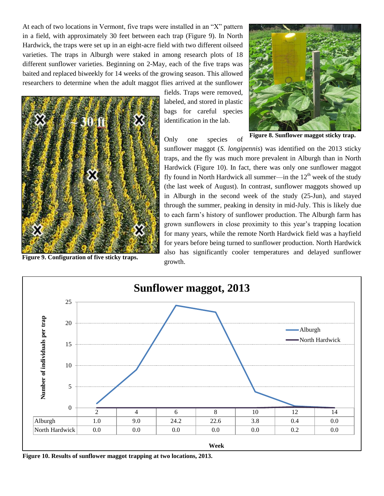At each of two locations in Vermont, five traps were installed in an "X" pattern in a field, with approximately 30 feet between each trap (Figure 9). In North Hardwick, the traps were set up in an eight-acre field with two different oilseed varieties. The traps in Alburgh were staked in among research plots of 18 different sunflower varieties. Beginning on 2-May, each of the five traps was baited and replaced biweekly for 14 weeks of the growing season. This allowed researchers to determine when the adult maggot flies arrived at the sunflower



**Figure 9. Configuration of five sticky traps.**

fields. Traps were removed, labeled, and stored in plastic bags for careful species identification in the lab.

Only one species of



**Figure 8. Sunflower maggot sticky trap.**

sunflower maggot (*S. longipennis*) was identified on the 2013 sticky traps, and the fly was much more prevalent in Alburgh than in North Hardwick (Figure 10). In fact, there was only one sunflower maggot fly found in North Hardwick all summer—in the  $12<sup>th</sup>$  week of the study (the last week of August). In contrast, sunflower maggots showed up in Alburgh in the second week of the study (25-Jun), and stayed through the summer, peaking in density in mid-July. This is likely due to each farm's history of sunflower production. The Alburgh farm has grown sunflowers in close proximity to this year's trapping location for many years, while the remote North Hardwick field was a hayfield for years before being turned to sunflower production. North Hardwick also has significantly cooler temperatures and delayed sunflower growth.



**Figure 10. Results of sunflower maggot trapping at two locations, 2013.**